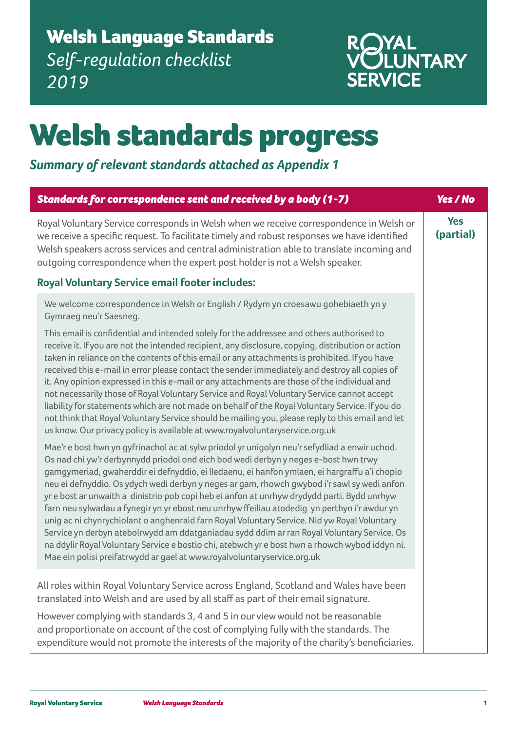## Welsh Language Standards *Self-regulation checklist 2019*



## Welsh standards progress

## *Summary of relevant standards attached as Appendix 1*

| Standards for correspondence sent and received by a body (1-7)                                                                                                                                                                                                                                                                                                                                                                                                                                                                                                                                                                                                                                                                                                                                                                                                                                                                                               | Yes / No                |
|--------------------------------------------------------------------------------------------------------------------------------------------------------------------------------------------------------------------------------------------------------------------------------------------------------------------------------------------------------------------------------------------------------------------------------------------------------------------------------------------------------------------------------------------------------------------------------------------------------------------------------------------------------------------------------------------------------------------------------------------------------------------------------------------------------------------------------------------------------------------------------------------------------------------------------------------------------------|-------------------------|
| Royal Voluntary Service corresponds in Welsh when we receive correspondence in Welsh or<br>we receive a specific request. To facilitate timely and robust responses we have identified<br>Welsh speakers across services and central administration able to translate incoming and<br>outgoing correspondence when the expert post holder is not a Welsh speaker.                                                                                                                                                                                                                                                                                                                                                                                                                                                                                                                                                                                            | <b>Yes</b><br>(partial) |
| <b>Royal Voluntary Service email footer includes:</b>                                                                                                                                                                                                                                                                                                                                                                                                                                                                                                                                                                                                                                                                                                                                                                                                                                                                                                        |                         |
| We welcome correspondence in Welsh or English / Rydym yn croesawu gohebiaeth yn y<br>Gymraeg neu'r Saesneg.                                                                                                                                                                                                                                                                                                                                                                                                                                                                                                                                                                                                                                                                                                                                                                                                                                                  |                         |
| This email is confidential and intended solely for the addressee and others authorised to<br>receive it. If you are not the intended recipient, any disclosure, copying, distribution or action<br>taken in reliance on the contents of this email or any attachments is prohibited. If you have<br>received this e-mail in error please contact the sender immediately and destroy all copies of<br>it. Any opinion expressed in this e-mail or any attachments are those of the individual and<br>not necessarily those of Royal Voluntary Service and Royal Voluntary Service cannot accept<br>liability for statements which are not made on behalf of the Royal Voluntary Service. If you do<br>not think that Royal Voluntary Service should be mailing you, please reply to this email and let<br>us know. Our privacy policy is available at www.royalvoluntaryservice.org.uk                                                                        |                         |
| Mae'r e bost hwn yn gyfrinachol ac at sylw priodol yr unigolyn neu'r sefydliad a enwir uchod.<br>Os nad chi yw'r derbynnydd priodol ond eich bod wedi derbyn y neges e-bost hwn trwy<br>gamgymeriad, gwaherddir ei defnyddio, ei lledaenu, ei hanfon ymlaen, ei hargraffu a'i chopio<br>neu ei defnyddio. Os ydych wedi derbyn y neges ar gam, rhowch gwybod i'r sawl sy wedi anfon<br>yr e bost ar unwaith a dinistrio pob copi heb ei anfon at unrhyw drydydd parti. Bydd unrhyw<br>farn neu sylwadau a fynegir yn yr ebost neu unrhyw ffeiliau atodedig yn perthyn i'r awdur yn<br>unig ac ni chynrychiolant o anghenraid farn Royal Voluntary Service. Nid yw Royal Voluntary<br>Service yn derbyn atebolrwydd am ddatganiadau sydd ddim ar ran Royal Voluntary Service. Os<br>na ddylir Royal Voluntary Service e bostio chi, atebwch yr e bost hwn a rhowch wybod iddyn ni.<br>Mae ein polisi preifatrwydd ar gael at www.royalvoluntaryservice.org.uk |                         |
| All roles within Royal Voluntary Service across England, Scotland and Wales have been<br>translated into Welsh and are used by all staff as part of their email signature.                                                                                                                                                                                                                                                                                                                                                                                                                                                                                                                                                                                                                                                                                                                                                                                   |                         |
| However complying with standards 3, 4 and 5 in our view would not be reasonable<br>and proportionate on account of the cost of complying fully with the standards. The<br>expenditure would not promote the interests of the majority of the charity's beneficiaries.                                                                                                                                                                                                                                                                                                                                                                                                                                                                                                                                                                                                                                                                                        |                         |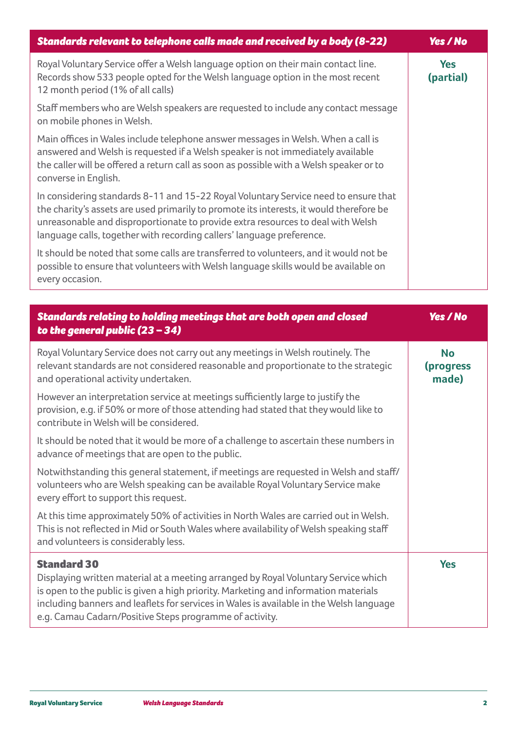| Standards relevant to telephone calls made and received by a body (8-22)                                                                                                                                                                                                                                                                   | <b>Yes / No</b>         |
|--------------------------------------------------------------------------------------------------------------------------------------------------------------------------------------------------------------------------------------------------------------------------------------------------------------------------------------------|-------------------------|
| Royal Voluntary Service offer a Welsh language option on their main contact line.<br>Records show 533 people opted for the Welsh language option in the most recent<br>12 month period (1% of all calls)                                                                                                                                   | <b>Yes</b><br>(partial) |
| Staff members who are Welsh speakers are requested to include any contact message<br>on mobile phones in Welsh.                                                                                                                                                                                                                            |                         |
| Main offices in Wales include telephone answer messages in Welsh. When a call is<br>answered and Welsh is requested if a Welsh speaker is not immediately available<br>the caller will be offered a return call as soon as possible with a Welsh speaker or to<br>converse in English.                                                     |                         |
| In considering standards 8-11 and 15-22 Royal Voluntary Service need to ensure that<br>the charity's assets are used primarily to promote its interests, it would therefore be<br>unreasonable and disproportionate to provide extra resources to deal with Welsh<br>language calls, together with recording callers' language preference. |                         |
| It should be noted that some calls are transferred to volunteers, and it would not be<br>possible to ensure that volunteers with Welsh language skills would be available on<br>every occasion.                                                                                                                                            |                         |

| Standards relating to holding meetings that are both open and closed<br>to the general public $(23 - 34)$                                                                                                                                                                                                                                             | Yes / No                        |
|-------------------------------------------------------------------------------------------------------------------------------------------------------------------------------------------------------------------------------------------------------------------------------------------------------------------------------------------------------|---------------------------------|
| Royal Voluntary Service does not carry out any meetings in Welsh routinely. The<br>relevant standards are not considered reasonable and proportionate to the strategic<br>and operational activity undertaken.                                                                                                                                        | <b>No</b><br>(progress<br>made) |
| However an interpretation service at meetings sufficiently large to justify the<br>provision, e.g. if 50% or more of those attending had stated that they would like to<br>contribute in Welsh will be considered.                                                                                                                                    |                                 |
| It should be noted that it would be more of a challenge to ascertain these numbers in<br>advance of meetings that are open to the public.                                                                                                                                                                                                             |                                 |
| Notwithstanding this general statement, if meetings are requested in Welsh and staff/<br>volunteers who are Welsh speaking can be available Royal Voluntary Service make<br>every effort to support this request.                                                                                                                                     |                                 |
| At this time approximately 50% of activities in North Wales are carried out in Welsh.<br>This is not reflected in Mid or South Wales where availability of Welsh speaking staff<br>and volunteers is considerably less.                                                                                                                               |                                 |
| <b>Standard 30</b><br>Displaying written material at a meeting arranged by Royal Voluntary Service which<br>is open to the public is given a high priority. Marketing and information materials<br>including banners and leaflets for services in Wales is available in the Welsh language<br>e.g. Camau Cadarn/Positive Steps programme of activity. | <b>Yes</b>                      |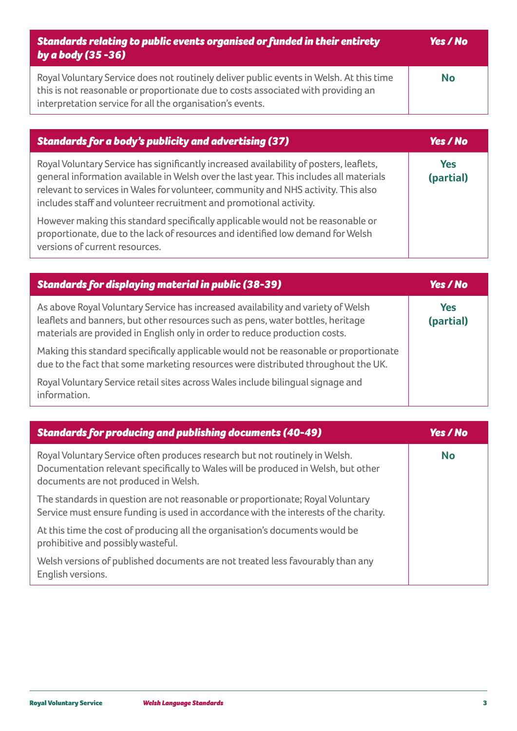| Standards relating to public events organised or funded in their entirety<br>by a body (35 -36)                                                                                                                                           | <b>Yes</b> / No |
|-------------------------------------------------------------------------------------------------------------------------------------------------------------------------------------------------------------------------------------------|-----------------|
| Royal Voluntary Service does not routinely deliver public events in Welsh. At this time<br>this is not reasonable or proportionate due to costs associated with providing an<br>interpretation service for all the organisation's events. | <b>No</b>       |

| <b>Standards for a body's publicity and advertising (37)</b>                                                                                                                                                                                                                                                                                 | <b>Yes</b> / No         |
|----------------------------------------------------------------------------------------------------------------------------------------------------------------------------------------------------------------------------------------------------------------------------------------------------------------------------------------------|-------------------------|
| Royal Voluntary Service has significantly increased availability of posters, leaflets,<br>general information available in Welsh over the last year. This includes all materials<br>relevant to services in Wales for volunteer, community and NHS activity. This also<br>includes staff and volunteer recruitment and promotional activity. | <b>Yes</b><br>(partial) |
| However making this standard specifically applicable would not be reasonable or<br>proportionate, due to the lack of resources and identified low demand for Welsh<br>versions of current resources.                                                                                                                                         |                         |

| <b>Standards for displaying material in public (38-39)</b>                                                                                                                                                                                         | <b>Yes / No</b>         |
|----------------------------------------------------------------------------------------------------------------------------------------------------------------------------------------------------------------------------------------------------|-------------------------|
| As above Royal Voluntary Service has increased availability and variety of Welsh<br>leaflets and banners, but other resources such as pens, water bottles, heritage<br>materials are provided in English only in order to reduce production costs. | <b>Yes</b><br>(partial) |
| Making this standard specifically applicable would not be reasonable or proportionate<br>due to the fact that some marketing resources were distributed throughout the UK.                                                                         |                         |
| Royal Voluntary Service retail sites across Wales include bilingual signage and<br>information.                                                                                                                                                    |                         |

| <b>Standards for producing and publishing documents (40-49)</b>                                                                                                                                          | <b>Yes / No</b> |
|----------------------------------------------------------------------------------------------------------------------------------------------------------------------------------------------------------|-----------------|
| Royal Voluntary Service often produces research but not routinely in Welsh.<br>Documentation relevant specifically to Wales will be produced in Welsh, but other<br>documents are not produced in Welsh. | <b>No</b>       |
| The standards in question are not reasonable or proportionate; Royal Voluntary<br>Service must ensure funding is used in accordance with the interests of the charity.                                   |                 |
| At this time the cost of producing all the organisation's documents would be<br>prohibitive and possibly wasteful.                                                                                       |                 |
| Welsh versions of published documents are not treated less favourably than any<br>English versions.                                                                                                      |                 |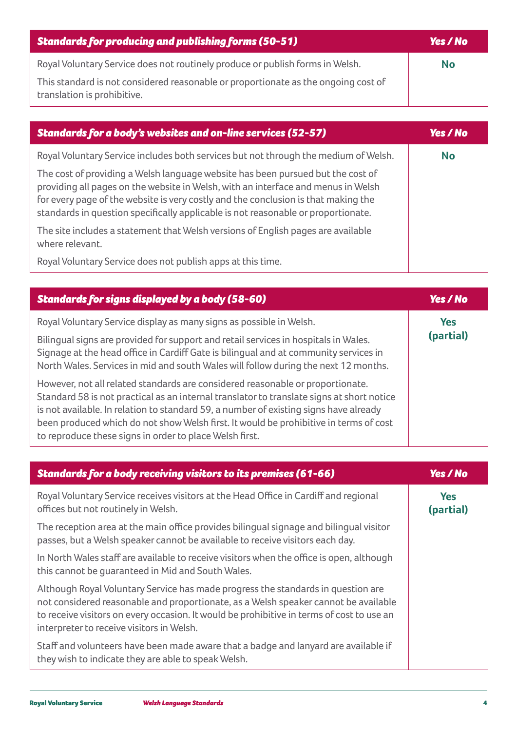| <b>Standards for producing and publishing forms (50-51)</b>                                                       | Yes / No  |
|-------------------------------------------------------------------------------------------------------------------|-----------|
| Royal Voluntary Service does not routinely produce or publish forms in Welsh.                                     | <b>No</b> |
| This standard is not considered reasonable or proportionate as the ongoing cost of<br>translation is prohibitive. |           |

| <b>Standards for a body's websites and on-line services (52-57)</b>                                                                                                                                                                                                                                                                             | <b>Yes / No</b> |
|-------------------------------------------------------------------------------------------------------------------------------------------------------------------------------------------------------------------------------------------------------------------------------------------------------------------------------------------------|-----------------|
| Royal Voluntary Service includes both services but not through the medium of Welsh.                                                                                                                                                                                                                                                             | <b>No</b>       |
| The cost of providing a Welsh language website has been pursued but the cost of<br>providing all pages on the website in Welsh, with an interface and menus in Welsh<br>for every page of the website is very costly and the conclusion is that making the<br>standards in question specifically applicable is not reasonable or proportionate. |                 |
| The site includes a statement that Welsh versions of English pages are available<br>where relevant.                                                                                                                                                                                                                                             |                 |
| Royal Voluntary Service does not publish apps at this time.                                                                                                                                                                                                                                                                                     |                 |

| <b>Standards for signs displayed by a body (58-60)</b>                                                                                                                                                                                                                                                                                                                                                                   | Yes / No   |
|--------------------------------------------------------------------------------------------------------------------------------------------------------------------------------------------------------------------------------------------------------------------------------------------------------------------------------------------------------------------------------------------------------------------------|------------|
| Royal Voluntary Service display as many signs as possible in Welsh.                                                                                                                                                                                                                                                                                                                                                      | <b>Yes</b> |
| Bilingual signs are provided for support and retail services in hospitals in Wales.<br>Signage at the head office in Cardiff Gate is bilingual and at community services in<br>North Wales. Services in mid and south Wales will follow during the next 12 months.                                                                                                                                                       | (partial)  |
| However, not all related standards are considered reasonable or proportionate.<br>Standard 58 is not practical as an internal translator to translate signs at short notice<br>is not available. In relation to standard 59, a number of existing signs have already<br>been produced which do not show Welsh first. It would be prohibitive in terms of cost<br>to reproduce these signs in order to place Welsh first. |            |

| <b>Standards for a body receiving visitors to its premises (61-66)</b>                                                                                                                                                                                                                                            | <b>Yes / No</b>         |
|-------------------------------------------------------------------------------------------------------------------------------------------------------------------------------------------------------------------------------------------------------------------------------------------------------------------|-------------------------|
| Royal Voluntary Service receives visitors at the Head Office in Cardiff and regional<br>offices but not routinely in Welsh.                                                                                                                                                                                       | <b>Yes</b><br>(partial) |
| The reception area at the main office provides bilingual signage and bilingual visitor<br>passes, but a Welsh speaker cannot be available to receive visitors each day.                                                                                                                                           |                         |
| In North Wales staff are available to receive visitors when the office is open, although<br>this cannot be quaranteed in Mid and South Wales.                                                                                                                                                                     |                         |
| Although Royal Voluntary Service has made progress the standards in question are<br>not considered reasonable and proportionate, as a Welsh speaker cannot be available<br>to receive visitors on every occasion. It would be prohibitive in terms of cost to use an<br>interpreter to receive visitors in Welsh. |                         |
| Staff and volunteers have been made aware that a badge and lanyard are available if<br>they wish to indicate they are able to speak Welsh.                                                                                                                                                                        |                         |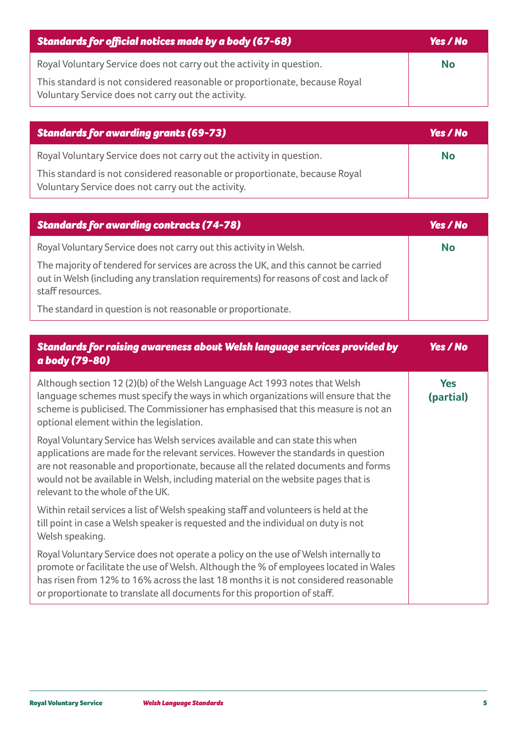| Standards for official notices made by a body (67-68)                                                                            | Yes / No  |
|----------------------------------------------------------------------------------------------------------------------------------|-----------|
| Royal Voluntary Service does not carry out the activity in question.                                                             | <b>No</b> |
| This standard is not considered reasonable or proportionate, because Royal<br>Voluntary Service does not carry out the activity. |           |

| $\mid$ Standards for awarding grants (69-73)                                                                                     | <b>Yes / No</b> |
|----------------------------------------------------------------------------------------------------------------------------------|-----------------|
| Royal Voluntary Service does not carry out the activity in question.                                                             | No              |
| This standard is not considered reasonable or proportionate, because Royal<br>Voluntary Service does not carry out the activity. |                 |

| <b>Standards for awarding contracts (74-78)</b>                                                                                                                                                  | Yes / No  |
|--------------------------------------------------------------------------------------------------------------------------------------------------------------------------------------------------|-----------|
| Royal Voluntary Service does not carry out this activity in Welsh.                                                                                                                               | <b>No</b> |
| The majority of tendered for services are across the UK, and this cannot be carried<br>out in Welsh (including any translation requirements) for reasons of cost and lack of<br>staff resources. |           |
| The standard in question is not reasonable or proportionate.                                                                                                                                     |           |

| <b>Standards for raising awareness about Welsh language services provided by</b><br>a body (79-80)                                                                                                                                                                                                                                                                              | Yes / No                |
|---------------------------------------------------------------------------------------------------------------------------------------------------------------------------------------------------------------------------------------------------------------------------------------------------------------------------------------------------------------------------------|-------------------------|
| Although section 12 (2)(b) of the Welsh Language Act 1993 notes that Welsh<br>language schemes must specify the ways in which organizations will ensure that the<br>scheme is publicised. The Commissioner has emphasised that this measure is not an<br>optional element within the legislation.                                                                               | <b>Yes</b><br>(partial) |
| Royal Voluntary Service has Welsh services available and can state this when<br>applications are made for the relevant services. However the standards in question<br>are not reasonable and proportionate, because all the related documents and forms<br>would not be available in Welsh, including material on the website pages that is<br>relevant to the whole of the UK. |                         |
| Within retail services a list of Welsh speaking staff and volunteers is held at the<br>till point in case a Welsh speaker is requested and the individual on duty is not<br>Welsh speaking.                                                                                                                                                                                     |                         |
| Royal Voluntary Service does not operate a policy on the use of Welsh internally to<br>promote or facilitate the use of Welsh. Although the % of employees located in Wales<br>has risen from 12% to 16% across the last 18 months it is not considered reasonable<br>or proportionate to translate all documents for this proportion of staff.                                 |                         |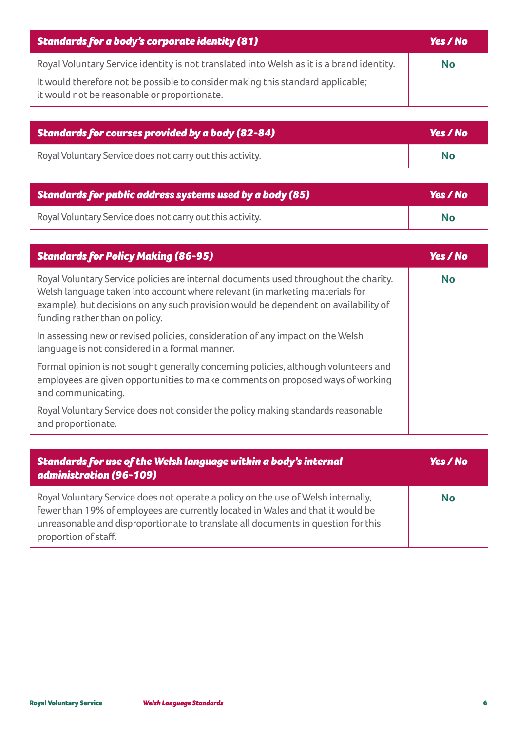| <b>Standards for a body's corporate identity (81)</b>                                                                           | Yes / No  |
|---------------------------------------------------------------------------------------------------------------------------------|-----------|
| Royal Voluntary Service identity is not translated into Welsh as it is a brand identity.                                        | <b>No</b> |
| It would therefore not be possible to consider making this standard applicable;<br>it would not be reasonable or proportionate. |           |

| Standards for courses provided by a body (82-84)          | <b>Yes</b> / No |
|-----------------------------------------------------------|-----------------|
| Royal Voluntary Service does not carry out this activity. | No              |

| Standards for public address systems used by a body (85)  | Yes / No  |
|-----------------------------------------------------------|-----------|
| Royal Voluntary Service does not carry out this activity. | <b>No</b> |

| <b>Standards for Policy Making (86-95)</b>                                                                                                                                                                                                                                                    | Yes / No  |
|-----------------------------------------------------------------------------------------------------------------------------------------------------------------------------------------------------------------------------------------------------------------------------------------------|-----------|
| Royal Voluntary Service policies are internal documents used throughout the charity.<br>Welsh language taken into account where relevant (in marketing materials for<br>example), but decisions on any such provision would be dependent on availability of<br>funding rather than on policy. | <b>No</b> |
| In assessing new or revised policies, consideration of any impact on the Welsh<br>language is not considered in a formal manner.                                                                                                                                                              |           |
| Formal opinion is not sought generally concerning policies, although volunteers and<br>employees are given opportunities to make comments on proposed ways of working<br>and communicating.                                                                                                   |           |
| Royal Voluntary Service does not consider the policy making standards reasonable<br>and proportionate.                                                                                                                                                                                        |           |

| Standards for use of the Welsh language within a body's internal<br>administration (96-109)                                                                                                                                                                                       | <b>Yes</b> / No |
|-----------------------------------------------------------------------------------------------------------------------------------------------------------------------------------------------------------------------------------------------------------------------------------|-----------------|
| Royal Voluntary Service does not operate a policy on the use of Welsh internally,<br>fewer than 19% of employees are currently located in Wales and that it would be<br>unreasonable and disproportionate to translate all documents in question for this<br>proportion of staff. | <b>No</b>       |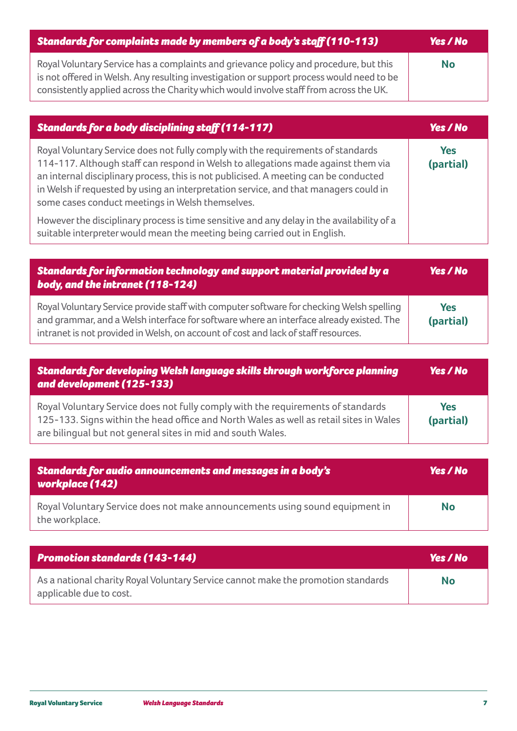| Standards for complaints made by members of a body's staff (110-113)                                                                                                                                                                                                       | Yes / No  |
|----------------------------------------------------------------------------------------------------------------------------------------------------------------------------------------------------------------------------------------------------------------------------|-----------|
| Royal Voluntary Service has a complaints and grievance policy and procedure, but this<br>is not offered in Welsh. Any resulting investigation or support process would need to be<br>consistently applied across the Charity which would involve staff from across the UK. | <b>No</b> |

| <b>Standards for a body disciplining staff (114-117)</b>                                                                                                                                                                                                                                                                                                                                                  | Yes / No         |
|-----------------------------------------------------------------------------------------------------------------------------------------------------------------------------------------------------------------------------------------------------------------------------------------------------------------------------------------------------------------------------------------------------------|------------------|
| Royal Voluntary Service does not fully comply with the requirements of standards<br>114-117. Although staff can respond in Welsh to allegations made against them via<br>an internal disciplinary process, this is not publicised. A meeting can be conducted<br>in Welsh if requested by using an interpretation service, and that managers could in<br>some cases conduct meetings in Welsh themselves. | Yes<br>(partial) |
| However the disciplinary process is time sensitive and any delay in the availability of a<br>suitable interpreter would mean the meeting being carried out in English.                                                                                                                                                                                                                                    |                  |

| Standards for information technology and support material provided by a<br>body, and the intranet (118-124)                                                                                                                                                               | Yes / No         |
|---------------------------------------------------------------------------------------------------------------------------------------------------------------------------------------------------------------------------------------------------------------------------|------------------|
| Royal Voluntary Service provide staff with computer software for checking Welsh spelling<br>and grammar, and a Welsh interface for software where an interface already existed. The<br>intranet is not provided in Welsh, on account of cost and lack of staff resources. | Yes<br>(partial) |

| Standards for developing Welsh language skills through workforce planning<br>and development (125-133)                                                                                                                                    | Yes / No         |
|-------------------------------------------------------------------------------------------------------------------------------------------------------------------------------------------------------------------------------------------|------------------|
| Royal Voluntary Service does not fully comply with the requirements of standards<br>125-133. Signs within the head office and North Wales as well as retail sites in Wales<br>are bilingual but not general sites in mid and south Wales. | Yes<br>(partial) |

| <b>Standards for audio announcements and messages in a body's</b><br><b>workplace (142)</b>    | <b>Yes</b> / No |
|------------------------------------------------------------------------------------------------|-----------------|
| Royal Voluntary Service does not make announcements using sound equipment in<br>the workplace. | <b>No</b>       |

| <b>Promotion standards (143-144)</b>                                                                         | <b>Yes / No</b> |
|--------------------------------------------------------------------------------------------------------------|-----------------|
| As a national charity Royal Voluntary Service cannot make the promotion standards<br>applicable due to cost. | <b>No</b>       |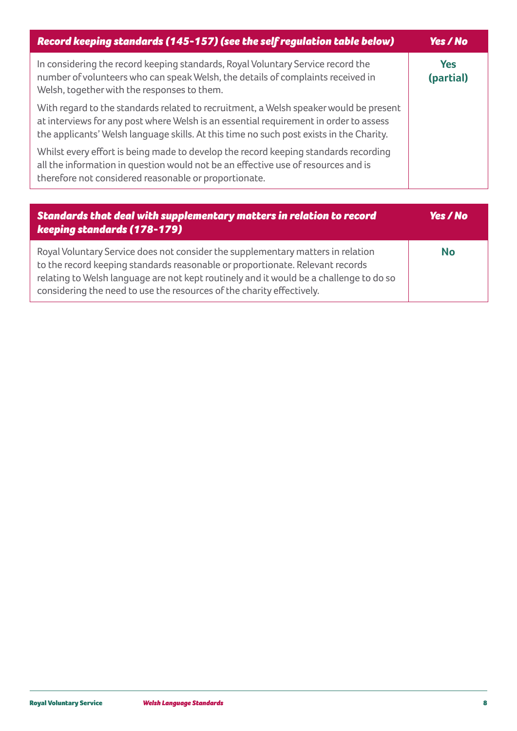| Record keeping standards (145-157) (see the self regulation table below)                                                                                                                                                                                                  | Yes / No                |
|---------------------------------------------------------------------------------------------------------------------------------------------------------------------------------------------------------------------------------------------------------------------------|-------------------------|
| In considering the record keeping standards, Royal Voluntary Service record the<br>number of volunteers who can speak Welsh, the details of complaints received in<br>Welsh, together with the responses to them.                                                         | <b>Yes</b><br>(partial) |
| With regard to the standards related to recruitment, a Welsh speaker would be present<br>at interviews for any post where Welsh is an essential requirement in order to assess<br>the applicants' Welsh language skills. At this time no such post exists in the Charity. |                         |
| Whilst every effort is being made to develop the record keeping standards recording<br>all the information in question would not be an effective use of resources and is<br>therefore not considered reasonable or proportionate.                                         |                         |
|                                                                                                                                                                                                                                                                           |                         |
| Standards that deal with supplementary matters in relation to record<br>keeping standards (178-179)                                                                                                                                                                       | <b>Yes / No</b>         |

| Royal Voluntary Service does not consider the supplementary matters in relation        | <b>No</b> |
|----------------------------------------------------------------------------------------|-----------|
| to the record keeping standards reasonable or proportionate. Relevant records          |           |
| relating to Welsh language are not kept routinely and it would be a challenge to do so |           |
| considering the need to use the resources of the charity effectively.                  |           |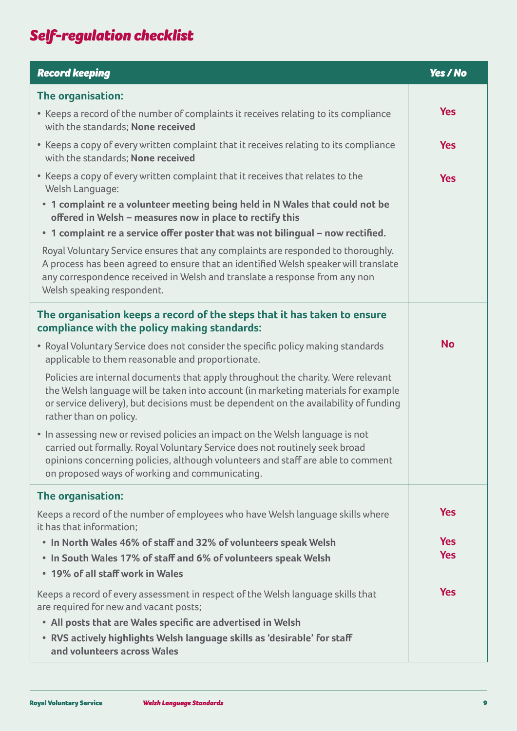## *Self-regulation checklist*

| <b>Record keeping</b>                                                                                                                                                                                                                                                                             | <b>Yes / No</b> |
|---------------------------------------------------------------------------------------------------------------------------------------------------------------------------------------------------------------------------------------------------------------------------------------------------|-----------------|
| The organisation:                                                                                                                                                                                                                                                                                 |                 |
| • Keeps a record of the number of complaints it receives relating to its compliance<br>with the standards; None received                                                                                                                                                                          | <b>Yes</b>      |
| • Keeps a copy of every written complaint that it receives relating to its compliance<br>with the standards; None received                                                                                                                                                                        | <b>Yes</b>      |
| • Keeps a copy of every written complaint that it receives that relates to the<br>Welsh Language:                                                                                                                                                                                                 | <b>Yes</b>      |
| • 1 complaint re a volunteer meeting being held in N Wales that could not be<br>offered in Welsh - measures now in place to rectify this                                                                                                                                                          |                 |
| • 1 complaint re a service offer poster that was not bilingual - now rectified.                                                                                                                                                                                                                   |                 |
| Royal Voluntary Service ensures that any complaints are responded to thoroughly.<br>A process has been agreed to ensure that an identified Welsh speaker will translate<br>any correspondence received in Welsh and translate a response from any non<br>Welsh speaking respondent.               |                 |
| The organisation keeps a record of the steps that it has taken to ensure<br>compliance with the policy making standards:                                                                                                                                                                          |                 |
| • Royal Voluntary Service does not consider the specific policy making standards<br>applicable to them reasonable and proportionate.                                                                                                                                                              | <b>No</b>       |
| Policies are internal documents that apply throughout the charity. Were relevant<br>the Welsh language will be taken into account (in marketing materials for example<br>or service delivery), but decisions must be dependent on the availability of funding<br>rather than on policy.           |                 |
| • In assessing new or revised policies an impact on the Welsh language is not<br>carried out formally. Royal Voluntary Service does not routinely seek broad<br>opinions concerning policies, although volunteers and staff are able to comment<br>on proposed ways of working and communicating. |                 |
| The organisation:                                                                                                                                                                                                                                                                                 |                 |
| Keeps a record of the number of employees who have Welsh language skills where<br>it has that information;                                                                                                                                                                                        | <b>Yes</b>      |
| • In North Wales 46% of staff and 32% of volunteers speak Welsh                                                                                                                                                                                                                                   | <b>Yes</b>      |
| • In South Wales 17% of staff and 6% of volunteers speak Welsh<br>• 19% of all staff work in Wales                                                                                                                                                                                                | <b>Yes</b>      |
| Keeps a record of every assessment in respect of the Welsh language skills that<br>are required for new and vacant posts;                                                                                                                                                                         | <b>Yes</b>      |
| • All posts that are Wales specific are advertised in Welsh                                                                                                                                                                                                                                       |                 |
| • RVS actively highlights Welsh language skills as 'desirable' for staff<br>and volunteers across Wales                                                                                                                                                                                           |                 |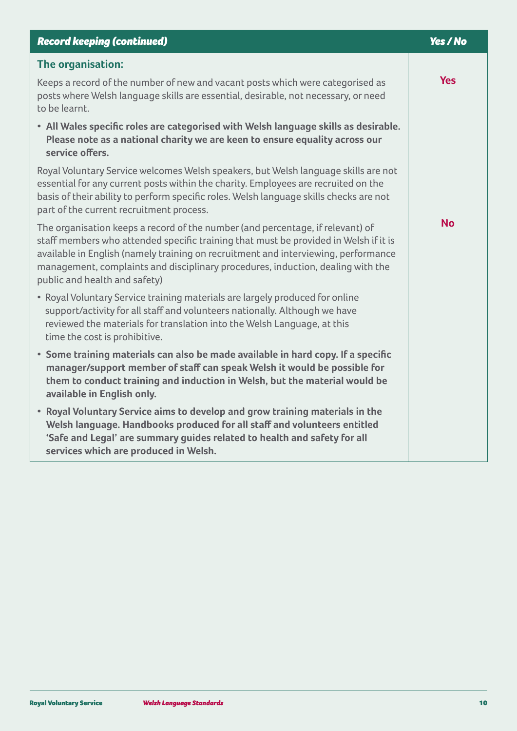| <b>Record keeping (continued)</b>                                                                                                                                                                                                                                                                                                                                                | Yes / No   |
|----------------------------------------------------------------------------------------------------------------------------------------------------------------------------------------------------------------------------------------------------------------------------------------------------------------------------------------------------------------------------------|------------|
| The organisation:                                                                                                                                                                                                                                                                                                                                                                |            |
| Keeps a record of the number of new and vacant posts which were categorised as<br>posts where Welsh language skills are essential, desirable, not necessary, or need<br>to be learnt.                                                                                                                                                                                            | <b>Yes</b> |
| • All Wales specific roles are categorised with Welsh language skills as desirable.<br>Please note as a national charity we are keen to ensure equality across our<br>service offers.                                                                                                                                                                                            |            |
| Royal Voluntary Service welcomes Welsh speakers, but Welsh language skills are not<br>essential for any current posts within the charity. Employees are recruited on the<br>basis of their ability to perform specific roles. Welsh language skills checks are not<br>part of the current recruitment process.                                                                   |            |
| The organisation keeps a record of the number (and percentage, if relevant) of<br>staff members who attended specific training that must be provided in Welsh if it is<br>available in English (namely training on recruitment and interviewing, performance<br>management, complaints and disciplinary procedures, induction, dealing with the<br>public and health and safety) | <b>No</b>  |
| • Royal Voluntary Service training materials are largely produced for online<br>support/activity for all staff and volunteers nationally. Although we have<br>reviewed the materials for translation into the Welsh Language, at this<br>time the cost is prohibitive.                                                                                                           |            |
| • Some training materials can also be made available in hard copy. If a specific<br>manager/support member of staff can speak Welsh it would be possible for<br>them to conduct training and induction in Welsh, but the material would be<br>available in English only.                                                                                                         |            |
| • Royal Voluntary Service aims to develop and grow training materials in the<br>Welsh language. Handbooks produced for all staff and volunteers entitled<br>'Safe and Legal' are summary guides related to health and safety for all<br>services which are produced in Welsh.                                                                                                    |            |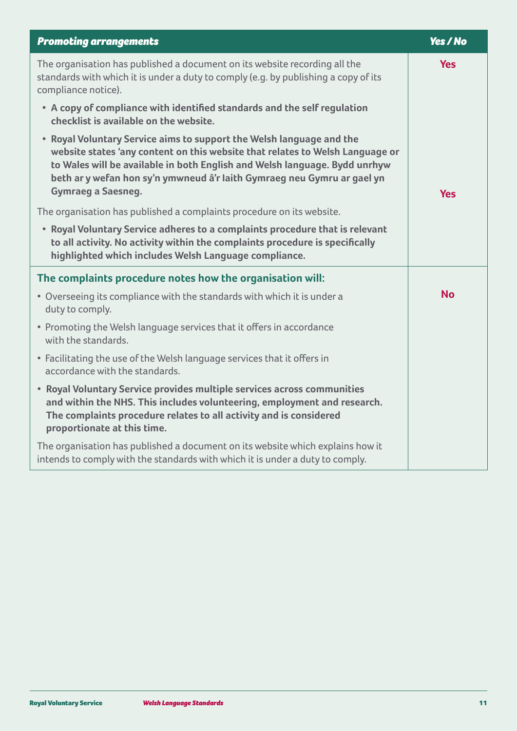| <b>Promoting arrangements</b>                                                                                                                                                                                                                                                                                                               | Yes / No   |
|---------------------------------------------------------------------------------------------------------------------------------------------------------------------------------------------------------------------------------------------------------------------------------------------------------------------------------------------|------------|
| The organisation has published a document on its website recording all the<br>standards with which it is under a duty to comply (e.g. by publishing a copy of its<br>compliance notice).                                                                                                                                                    | <b>Yes</b> |
| • A copy of compliance with identified standards and the self regulation<br>checklist is available on the website.                                                                                                                                                                                                                          |            |
| • Royal Voluntary Service aims to support the Welsh language and the<br>website states 'any content on this website that relates to Welsh Language or<br>to Wales will be available in both English and Welsh language. Bydd unrhyw<br>beth ar y wefan hon sy'n ymwneud â'r laith Gymraeg neu Gymru ar gael yn<br><b>Gymraeg a Saesneg.</b> | <b>Yes</b> |
| The organisation has published a complaints procedure on its website.                                                                                                                                                                                                                                                                       |            |
| • Royal Voluntary Service adheres to a complaints procedure that is relevant<br>to all activity. No activity within the complaints procedure is specifically<br>highlighted which includes Welsh Language compliance.                                                                                                                       |            |
| The complaints procedure notes how the organisation will:                                                                                                                                                                                                                                                                                   |            |
| • Overseeing its compliance with the standards with which it is under a<br>duty to comply.                                                                                                                                                                                                                                                  | <b>No</b>  |
| • Promoting the Welsh language services that it offers in accordance<br>with the standards.                                                                                                                                                                                                                                                 |            |
| • Facilitating the use of the Welsh language services that it offers in<br>accordance with the standards.                                                                                                                                                                                                                                   |            |
| • Royal Voluntary Service provides multiple services across communities<br>and within the NHS. This includes volunteering, employment and research.<br>The complaints procedure relates to all activity and is considered<br>proportionate at this time.                                                                                    |            |
| The organisation has published a document on its website which explains how it<br>intends to comply with the standards with which it is under a duty to comply.                                                                                                                                                                             |            |